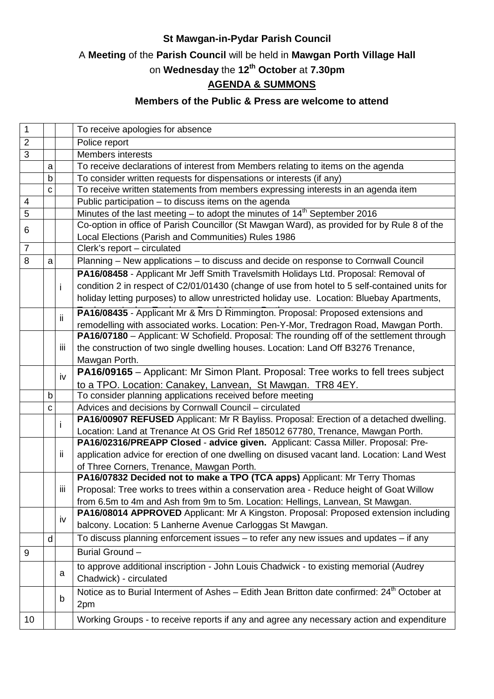#### **St Mawgan-in-Pydar Parish Council**

## A **Meeting** of the **Parish Council** will be held in **Mawgan Porth Village Hall**

# on **Wednesday** the **12th October** at **7.30pm**

### **AGENDA & SUMMONS**

#### **Members of the Public & Press are welcome to attend**

| $\mathbf{1}$   |   |     | To receive apologies for absence                                                                                                                                       |
|----------------|---|-----|------------------------------------------------------------------------------------------------------------------------------------------------------------------------|
| $\overline{2}$ |   |     | Police report                                                                                                                                                          |
| 3              |   |     | <b>Members interests</b>                                                                                                                                               |
|                | a |     | To receive declarations of interest from Members relating to items on the agenda                                                                                       |
|                | b |     | To consider written requests for dispensations or interests (if any)                                                                                                   |
|                | C |     | To receive written statements from members expressing interests in an agenda item                                                                                      |
| 4              |   |     | Public participation - to discuss items on the agenda                                                                                                                  |
| 5              |   |     | Minutes of the last meeting - to adopt the minutes of 14 <sup>th</sup> September 2016                                                                                  |
|                |   |     | Co-option in office of Parish Councillor (St Mawgan Ward), as provided for by Rule 8 of the                                                                            |
| 6              |   |     | Local Elections (Parish and Communities) Rules 1986                                                                                                                    |
| $\overline{7}$ |   |     | Clerk's report - circulated                                                                                                                                            |
| 8              | a |     | Planning - New applications - to discuss and decide on response to Cornwall Council                                                                                    |
|                |   |     | PA16/08458 - Applicant Mr Jeff Smith Travelsmith Holidays Ltd. Proposal: Removal of                                                                                    |
|                |   | Ť   | condition 2 in respect of C2/01/01430 (change of use from hotel to 5 self-contained units for                                                                          |
|                |   |     | holiday letting purposes) to allow unrestricted holiday use. Location: Bluebay Apartments,                                                                             |
|                |   |     | PA16/08435 - Applicant Mr & Mrs D Rimmington. Proposal: Proposed extensions and                                                                                        |
|                |   | ii. | remodelling with associated works. Location: Pen-Y-Mor, Tredragon Road, Mawgan Porth.                                                                                  |
|                |   |     | PA16/07180 - Applicant: W Schofield. Proposal: The rounding off of the settlement through                                                                              |
|                |   | iii | the construction of two single dwelling houses. Location: Land Off B3276 Trenance,                                                                                     |
|                |   |     | Mawgan Porth.                                                                                                                                                          |
|                |   |     | PA16/09165 - Applicant: Mr Simon Plant. Proposal: Tree works to fell trees subject                                                                                     |
|                |   | iv  | to a TPO. Location: Canakey, Lanvean, St Mawgan. TR8 4EY.                                                                                                              |
|                | b |     | To consider planning applications received before meeting                                                                                                              |
|                | C |     | Advices and decisions by Cornwall Council - circulated                                                                                                                 |
|                |   |     | PA16/00907 REFUSED Applicant: Mr R Bayliss. Proposal: Erection of a detached dwelling.                                                                                 |
|                |   | i   | Location: Land at Trenance At OS Grid Ref 185012 67780, Trenance, Mawgan Porth.                                                                                        |
|                |   |     | PA16/02316/PREAPP Closed - advice given. Applicant: Cassa Miller. Proposal: Pre-                                                                                       |
|                |   | ïi  | application advice for erection of one dwelling on disused vacant land. Location: Land West                                                                            |
|                |   |     |                                                                                                                                                                        |
|                |   |     | of Three Corners, Trenance, Mawgan Porth.<br>PA16/07832 Decided not to make a TPO (TCA apps) Applicant: Mr Terry Thomas                                                |
|                |   | iii | Proposal: Tree works to trees within a conservation area - Reduce height of Goat Willow                                                                                |
|                |   |     |                                                                                                                                                                        |
|                |   |     | from 6.5m to 4m and Ash from 9m to 5m. Location: Hellings, Lanvean, St Mawgan.<br>PA16/08014 APPROVED Applicant: Mr A Kingston. Proposal: Proposed extension including |
|                |   | iv  |                                                                                                                                                                        |
|                |   |     | balcony. Location: 5 Lanherne Avenue Carloggas St Mawgan.                                                                                                              |
|                | d |     | To discuss planning enforcement issues - to refer any new issues and updates - if any                                                                                  |
| 9              |   |     | Burial Ground-                                                                                                                                                         |
|                |   |     | to approve additional inscription - John Louis Chadwick - to existing memorial (Audrey                                                                                 |
|                |   | a   | Chadwick) - circulated                                                                                                                                                 |
|                |   | b   | Notice as to Burial Interment of Ashes – Edith Jean Britton date confirmed: 24 <sup>th</sup> October at                                                                |
|                |   |     | 2pm                                                                                                                                                                    |
| 10             |   |     | Working Groups - to receive reports if any and agree any necessary action and expenditure                                                                              |
|                |   |     |                                                                                                                                                                        |